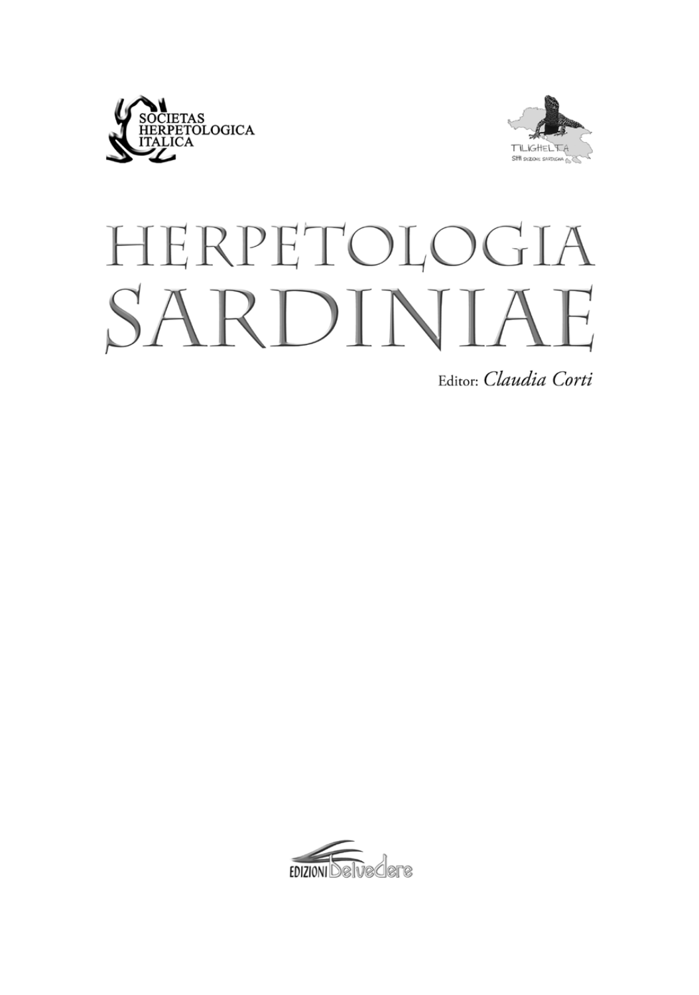



# HERPETOLOGIA SARDINIAE

Editor: Claudia Corti

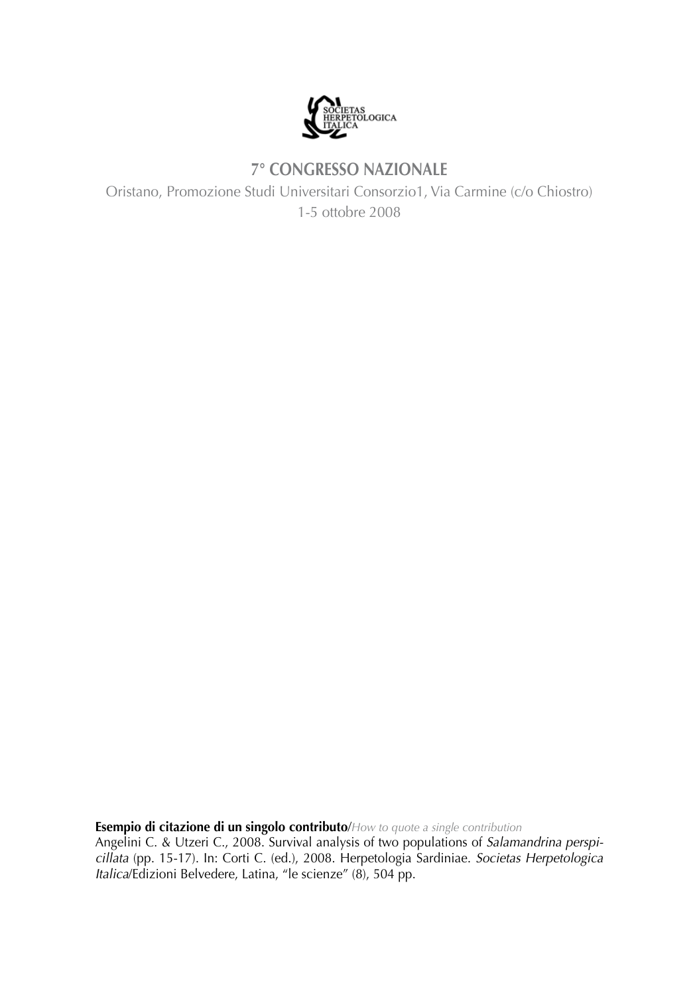

## **7° CONGRESSO NAZIONALE**

Oristano, Promozione Studi Universitari Consorzio1, Via Carmine (c/o Chiostro) 1-5 ottobre 2008

**Esempio di citazione di un singolo contributo**/*How to quote a single contribution*

Angelini C. & Utzeri C., 2008. Survival analysis of two populations of *Salamandrina perspicillata* (pp. 15-17). In: Corti C. (ed.), 2008. Herpetologia Sardiniae. *Societas Herpetologica Italica*/Edizioni Belvedere, Latina, "le scienze" (8), 504 pp.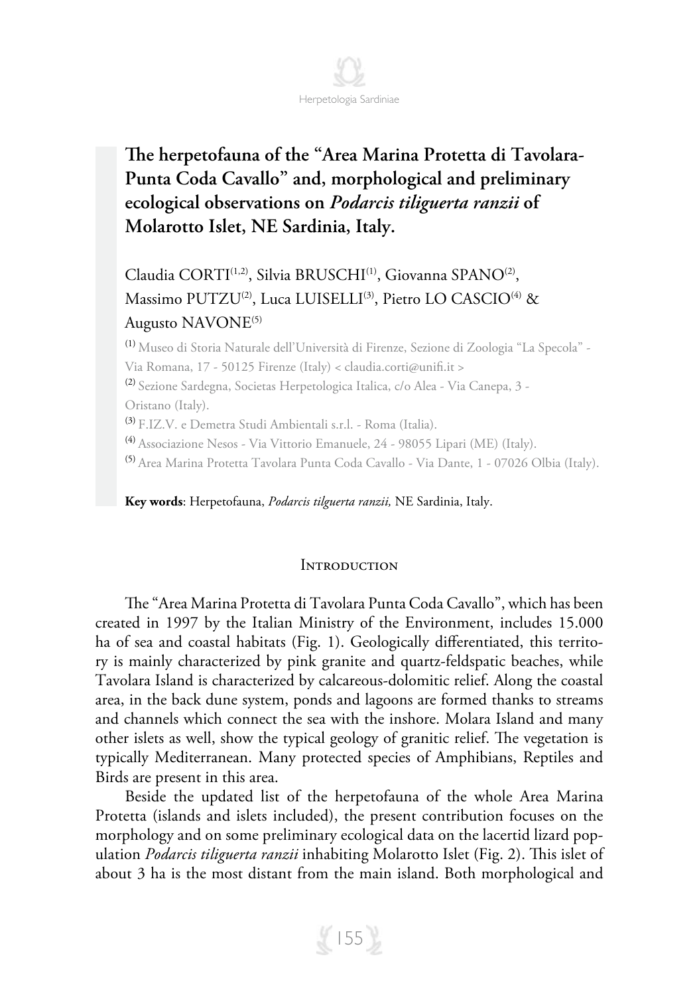

# **The herpetofauna of the "Area Marina Protetta di Tavolara-Punta Coda Cavallo" and, morphological and preliminary ecological observations on** *Podarcis tiliguerta ranzii* **of Molarotto Islet, NE Sardinia, Italy.**

### Claudia CORTI<sup>(1,2)</sup>, Silvia BRUSCHI<sup>(1)</sup>, Giovanna SPANO<sup>(2)</sup>, Massimo PUTZU<sup>(2)</sup>, Luca LUISELLI<sup>(3)</sup>, Pietro LO CASCIO<sup>(4)</sup> & Augusto NAVONE<sup>(5)</sup>

(1) Museo di Storia Naturale dell'Università di Firenze, Sezione di Zoologia "La Specola" - Via Romana, 17 - 50125 Firenze (Italy) < claudia.corti@unifi.it > (2) Sezione Sardegna, Societas Herpetologica Italica, c/o Alea - Via Canepa, 3 - Oristano (Italy). (3) F.IZ.V. e Demetra Studi Ambientali s.r.l. - Roma (Italia). (4) Associazione Nesos - Via Vittorio Emanuele, 24 - 98055 Lipari (ME) (Italy). (5) Area Marina Protetta Tavolara Punta Coda Cavallo - Via Dante, 1 - 07026 Olbia (Italy).

**Key words**: Herpetofauna, *Podarcis tilguerta ranzii,* NE Sardinia, Italy.

#### **INTRODUCTION**

The "Area Marina Protetta di Tavolara Punta Coda Cavallo", which has been created in 1997 by the Italian Ministry of the Environment, includes 15.000 ha of sea and coastal habitats (Fig. 1). Geologically differentiated, this territory is mainly characterized by pink granite and quartz-feldspatic beaches, while Tavolara Island is characterized by calcareous-dolomitic relief. Along the coastal area, in the back dune system, ponds and lagoons are formed thanks to streams and channels which connect the sea with the inshore. Molara Island and many other islets as well, show the typical geology of granitic relief. The vegetation is typically Mediterranean. Many protected species of Amphibians, Reptiles and Birds are present in this area.

Beside the updated list of the herpetofauna of the whole Area Marina Protetta (islands and islets included), the present contribution focuses on the morphology and on some preliminary ecological data on the lacertid lizard population *Podarcis tiliguerta ranzii* inhabiting Molarotto Islet (Fig. 2). This islet of about 3 ha is the most distant from the main island. Both morphological and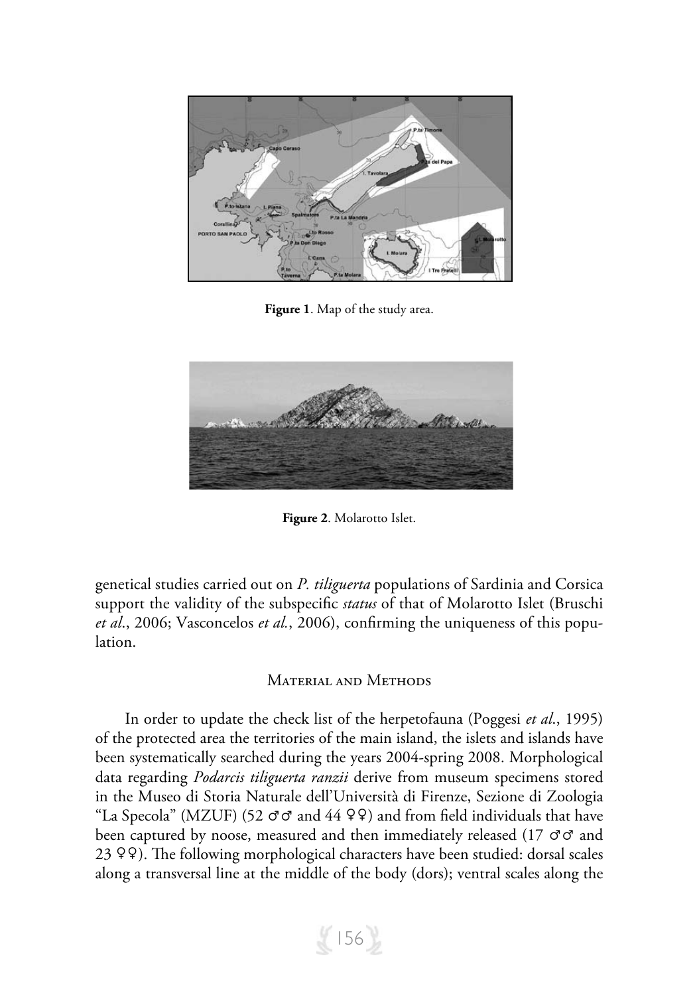

**Figure 1**. Map of the study area.



**Figure 2**. Molarotto Islet.

genetical studies carried out on *P. tiliguerta* populations of Sardinia and Corsica support the validity of the subspecific *status* of that of Molarotto Islet (Bruschi *et al*., 2006; Vasconcelos *et al.*, 2006), confirming the uniqueness of this population.

#### Material and Methods

In order to update the check list of the herpetofauna (Poggesi *et al*., 1995) of the protected area the territories of the main island, the islets and islands have been systematically searched during the years 2004-spring 2008. Morphological data regarding *Podarcis tiliguerta ranzii* derive from museum specimens stored in the Museo di Storia Naturale dell'Università di Firenze, Sezione di Zoologia "La Specola" (MZUF) (52  $\sigma \sigma$  and 44  $\varphi \varphi$ ) and from field individuals that have been captured by noose, measured and then immediately released (17 ♂♂ and 23 ♀♀). The following morphological characters have been studied: dorsal scales along a transversal line at the middle of the body (dors); ventral scales along the

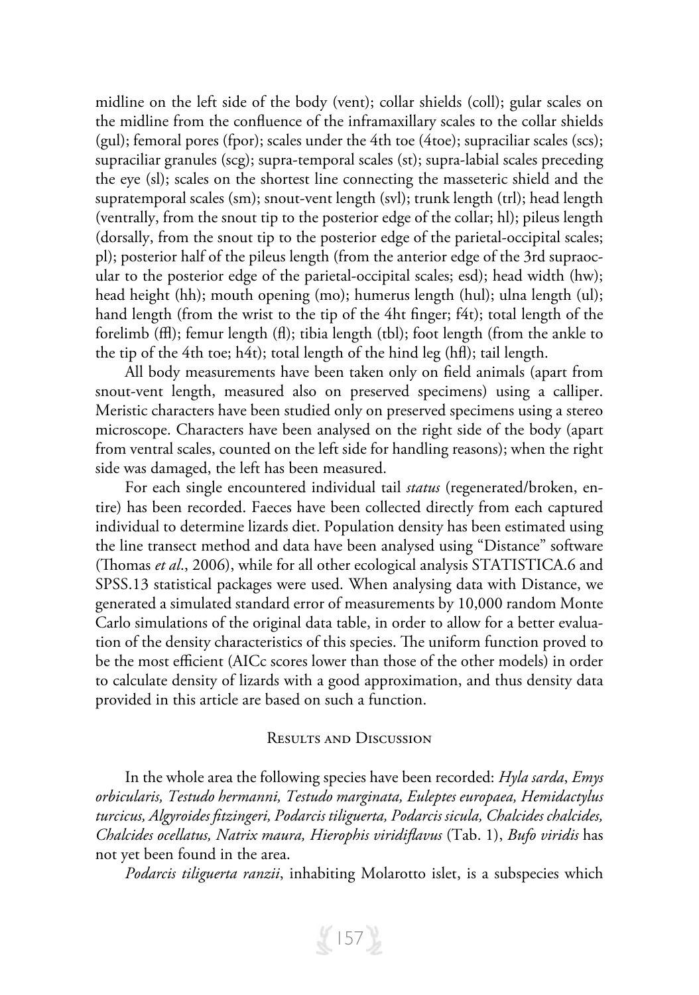midline on the left side of the body (vent); collar shields (coll); gular scales on the midline from the confluence of the inframaxillary scales to the collar shields (gul); femoral pores (fpor); scales under the 4th toe (4toe); supraciliar scales (scs); supraciliar granules (scg); supra-temporal scales (st); supra-labial scales preceding the eye (sl); scales on the shortest line connecting the masseteric shield and the supratemporal scales (sm); snout-vent length (svl); trunk length (trl); head length (ventrally, from the snout tip to the posterior edge of the collar; hl); pileus length (dorsally, from the snout tip to the posterior edge of the parietal-occipital scales; pl); posterior half of the pileus length (from the anterior edge of the 3rd supraocular to the posterior edge of the parietal-occipital scales; esd); head width (hw); head height (hh); mouth opening (mo); humerus length (hul); ulna length (ul); hand length (from the wrist to the tip of the 4ht finger; f4t); total length of the forelimb (ffl); femur length (fl); tibia length (tbl); foot length (from the ankle to the tip of the 4th toe; h4t); total length of the hind leg (hfl); tail length.

All body measurements have been taken only on field animals (apart from snout-vent length, measured also on preserved specimens) using a calliper. Meristic characters have been studied only on preserved specimens using a stereo microscope. Characters have been analysed on the right side of the body (apart from ventral scales, counted on the left side for handling reasons); when the right side was damaged, the left has been measured.

For each single encountered individual tail *status* (regenerated/broken, entire) has been recorded. Faeces have been collected directly from each captured individual to determine lizards diet. Population density has been estimated using the line transect method and data have been analysed using "Distance" software (Thomas *et al*., 2006), while for all other ecological analysis STATISTICA.6 and SPSS.13 statistical packages were used. When analysing data with Distance, we generated a simulated standard error of measurements by 10,000 random Monte Carlo simulations of the original data table, in order to allow for a better evaluation of the density characteristics of this species. The uniform function proved to be the most efficient (AICc scores lower than those of the other models) in order to calculate density of lizards with a good approximation, and thus density data provided in this article are based on such a function.

#### Results and Discussion

In the whole area the following species have been recorded: *Hyla sarda*, *Emys orbicularis, Testudo hermanni, Testudo marginata, Euleptes europaea, Hemidactylus turcicus, Algyroides fitzingeri, Podarcis tiliguerta, Podarcis sicula, Chalcides chalcides, Chalcides ocellatus, Natrix maura, Hierophis viridiflavus* (Tab. 1), *Bufo viridis* has not yet been found in the area.

*Podarcis tiliguerta ranzii*, inhabiting Molarotto islet, is a subspecies which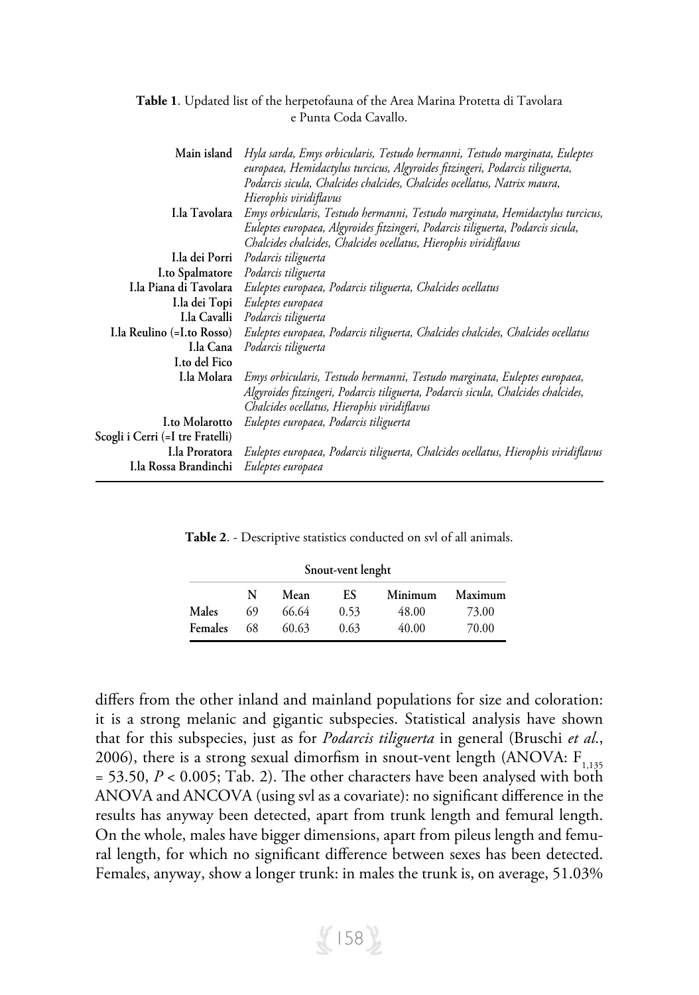|  | Table 1. Updated list of the herpetofauna of the Area Marina Protetta di Tavolara |  |  |  |
|--|-----------------------------------------------------------------------------------|--|--|--|
|  | e Punta Coda Cavallo.                                                             |  |  |  |

| Main island                      | Hyla sarda, Emys orbicularis, Testudo hermanni, Testudo marginata, Euleptes         |
|----------------------------------|-------------------------------------------------------------------------------------|
|                                  | europaea, Hemidactylus turcicus, Algyroides fitzingeri, Podarcis tiliguerta,        |
|                                  | Podarcis sicula, Chalcides chalcides, Chalcides ocellatus, Natrix maura,            |
|                                  | Hierophis viridiflavus                                                              |
| I.la Tavolara                    | Emys orbicularis, Testudo hermanni, Testudo marginata, Hemidactylus turcicus,       |
|                                  | Euleptes europaea, Algyroides fitzingeri, Podarcis tiliguerta, Podarcis sicula,     |
|                                  | Chalcides chalcides, Chalcides ocellatus, Hierophis viridiflavus                    |
| I.la dei Porri                   | Podarcis tiliguerta                                                                 |
| <b>I.to Spalmatore</b>           | Podarcis tiliguerta                                                                 |
| I.la Piana di Tavolara           | Euleptes europaea, Podarcis tiliguerta, Chalcides ocellatus                         |
|                                  | I.la dei Topi Euleptes europaea                                                     |
| I.la Cavalli                     | Podarcis tiliguerta                                                                 |
| I.la Reulino (=I.to Rosso)       | Euleptes europaea, Podarcis tiliguerta, Chalcides chalcides, Chalcides ocellatus    |
| I.la Cana                        | Podarcis tiliguerta                                                                 |
| I.to del Fico                    |                                                                                     |
| I.la Molara                      | Emys orbicularis, Testudo hermanni, Testudo marginata, Euleptes europaea,           |
|                                  | Algyroides fitzingeri, Podarcis tiliguerta, Podarcis sicula, Chalcides chalcides,   |
|                                  | Chalcides ocellatus, Hierophis viridiflavus                                         |
| <b>I.to Molarotto</b>            | Euleptes europaea, Podarcis tiliguerta                                              |
| Scogli i Cerri (=I tre Fratelli) |                                                                                     |
| I.la Proratora                   | Euleptes europaea, Podarcis tiliguerta, Chalcides ocellatus, Hierophis viridiflavus |
| I.la Rossa Brandinchi            |                                                                                     |
|                                  | Euleptes europaea                                                                   |

**Table 2**. - Descriptive statistics conducted on svl of all animals.

| Snout-vent lenght |    |       |      |         |         |  |  |
|-------------------|----|-------|------|---------|---------|--|--|
|                   | N  | Mean  | ES   | Minimum | Maximum |  |  |
| Males             | 69 | 66.64 | 0.53 | 48.00   | 73.00   |  |  |
| Females           | 68 | 60.63 | 0.63 | 40.00   | 70.00   |  |  |

differs from the other inland and mainland populations for size and coloration: it is a strong melanic and gigantic subspecies. Statistical analysis have shown that for this subspecies, just as for *Podarcis tiliguerta* in general (Bruschi *et al*., 2006), there is a strong sexual dimorfism in snout-vent length (ANOVA:  $F_{1,135}$  $= 53.50, P < 0.005$ ; Tab. 2). The other characters have been analysed with both ANOVA and ANCOVA (using svl as a covariate): no significant difference in the results has anyway been detected, apart from trunk length and femural length. On the whole, males have bigger dimensions, apart from pileus length and femural length, for which no significant difference between sexes has been detected. Females, anyway, show a longer trunk: in males the trunk is, on average, 51.03%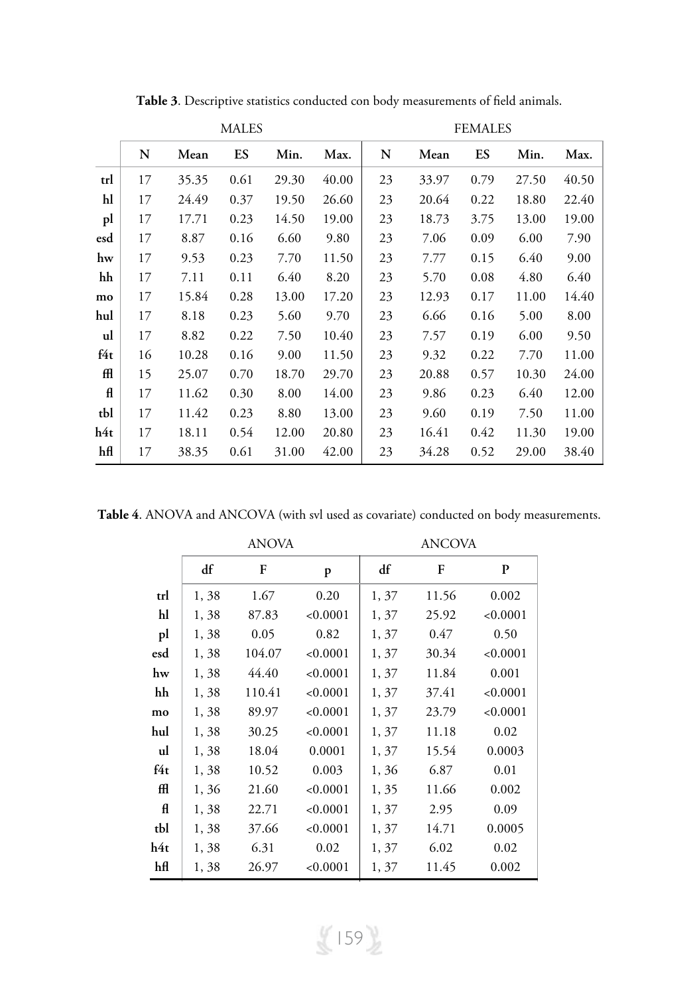|     | <b>MALES</b> |       |      |       |       |    |       | <b>FEMALES</b> |       |       |
|-----|--------------|-------|------|-------|-------|----|-------|----------------|-------|-------|
|     | N            | Mean  | ES   | Min.  | Max.  | N  | Mean  | ES             | Min.  | Max.  |
| trl | 17           | 35.35 | 0.61 | 29.30 | 40.00 | 23 | 33.97 | 0.79           | 27.50 | 40.50 |
| hl  | 17           | 24.49 | 0.37 | 19.50 | 26.60 | 23 | 20.64 | 0.22           | 18.80 | 22.40 |
| pl  | 17           | 17.71 | 0.23 | 14.50 | 19.00 | 23 | 18.73 | 3.75           | 13.00 | 19.00 |
| esd | 17           | 8.87  | 0.16 | 6.60  | 9.80  | 23 | 7.06  | 0.09           | 6.00  | 7.90  |
| hw  | 17           | 9.53  | 0.23 | 7.70  | 11.50 | 23 | 7.77  | 0.15           | 6.40  | 9.00  |
| hh  | 17           | 7.11  | 0.11 | 6.40  | 8.20  | 23 | 5.70  | 0.08           | 4.80  | 6.40  |
| mo  | 17           | 15.84 | 0.28 | 13.00 | 17.20 | 23 | 12.93 | 0.17           | 11.00 | 14.40 |
| hul | 17           | 8.18  | 0.23 | 5.60  | 9.70  | 23 | 6.66  | 0.16           | 5.00  | 8.00  |
| ul  | 17           | 8.82  | 0.22 | 7.50  | 10.40 | 23 | 7.57  | 0.19           | 6.00  | 9.50  |
| f4t | 16           | 10.28 | 0.16 | 9.00  | 11.50 | 23 | 9.32  | 0.22           | 7.70  | 11.00 |
| Æ   | 15           | 25.07 | 0.70 | 18.70 | 29.70 | 23 | 20.88 | 0.57           | 10.30 | 24.00 |
| A   | 17           | 11.62 | 0.30 | 8.00  | 14.00 | 23 | 9.86  | 0.23           | 6.40  | 12.00 |
| tbl | 17           | 11.42 | 0.23 | 8.80  | 13.00 | 23 | 9.60  | 0.19           | 7.50  | 11.00 |
| h4t | 17           | 18.11 | 0.54 | 12.00 | 20.80 | 23 | 16.41 | 0.42           | 11.30 | 19.00 |
| hfl | 17           | 38.35 | 0.61 | 31.00 | 42.00 | 23 | 34.28 | 0.52           | 29.00 | 38.40 |

**Table 3**. Descriptive statistics conducted con body measurements of field animals.

**Table 4**. ANOVA and ANCOVA (with svl used as covariate) conducted on body measurements.

|     |      | <b>ANOVA</b> |          | <b>ANCOVA</b> |       |          |  |  |
|-----|------|--------------|----------|---------------|-------|----------|--|--|
|     | df   | F            | p        | df            | F     | P        |  |  |
| trl | 1,38 | 1.67         | 0.20     | 1, 37         | 11.56 | 0.002    |  |  |
| hl  | 1,38 | 87.83        | < 0.0001 | 1, 37         | 25.92 | < 0.0001 |  |  |
| pl  | 1,38 | 0.05         | 0.82     | 1, 37         | 0.47  | 0.50     |  |  |
| esd | 1,38 | 104.07       | < 0.0001 | 1, 37         | 30.34 | < 0.0001 |  |  |
| hw  | 1,38 | 44.40        | < 0.0001 | 1, 37         | 11.84 | 0.001    |  |  |
| hh  | 1,38 | 110.41       | < 0.0001 | 1, 37         | 37.41 | < 0.0001 |  |  |
| mo  | 1,38 | 89.97        | < 0.0001 | 1, 37         | 23.79 | < 0.0001 |  |  |
| hul | 1,38 | 30.25        | < 0.0001 | 1, 37         | 11.18 | 0.02     |  |  |
| ul  | 1,38 | 18.04        | 0.0001   | 1, 37         | 15.54 | 0.0003   |  |  |
| f4t | 1,38 | 10.52        | 0.003    | 1,36          | 6.87  | 0.01     |  |  |
| Æ   | 1,36 | 21.60        | < 0.0001 | 1, 35         | 11.66 | 0.002    |  |  |
| fl  | 1,38 | 22.71        | < 0.0001 | 1, 37         | 2.95  | 0.09     |  |  |
| tbl | 1,38 | 37.66        | < 0.0001 | 1, 37         | 14.71 | 0.0005   |  |  |
| h4t | 1,38 | 6.31         | 0.02     | 1, 37         | 6.02  | 0.02     |  |  |
| hfl | 1,38 | 26.97        | < 0.0001 | 1, 37         | 11.45 | 0.002    |  |  |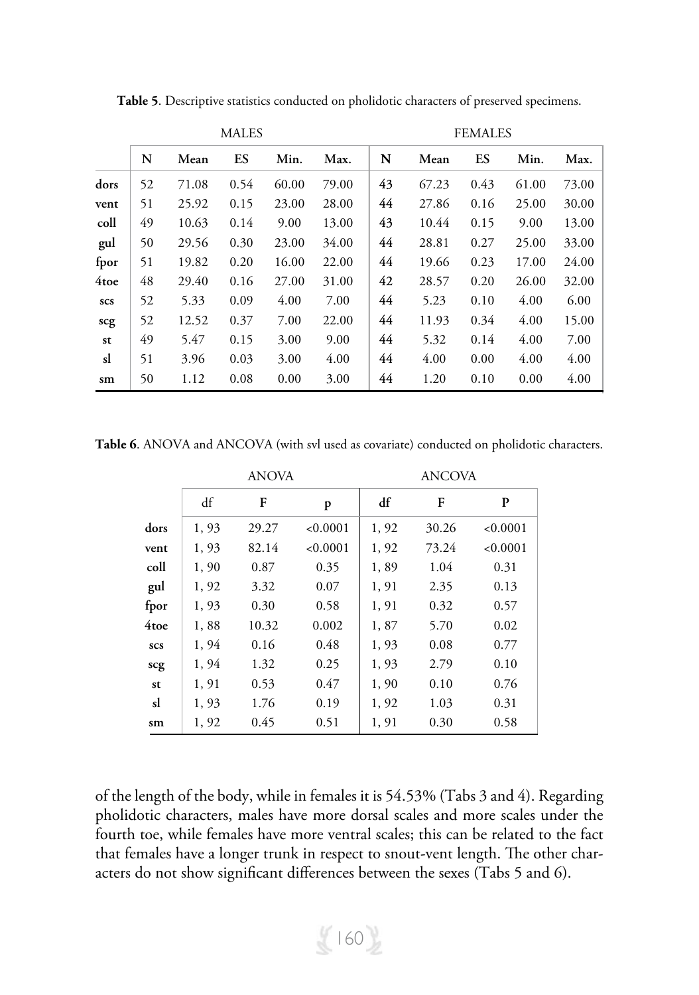|            | <b>MALES</b> |       |      |       |       | <b>FEMALES</b> |       |      |       |       |
|------------|--------------|-------|------|-------|-------|----------------|-------|------|-------|-------|
|            | N            | Mean  | ES   | Min.  | Max.  | N              | Mean  | ES   | Min.  | Max.  |
| dors       | 52           | 71.08 | 0.54 | 60.00 | 79.00 | 43             | 67.23 | 0.43 | 61.00 | 73.00 |
| vent       | 51           | 25.92 | 0.15 | 23.00 | 28.00 | 44             | 27.86 | 0.16 | 25.00 | 30.00 |
| coll       | 49           | 10.63 | 0.14 | 9.00  | 13.00 | 43             | 10.44 | 0.15 | 9.00  | 13.00 |
| gul        | 50           | 29.56 | 0.30 | 23.00 | 34.00 | 44             | 28.81 | 0.27 | 25.00 | 33.00 |
| fpor       | 51           | 19.82 | 0.20 | 16.00 | 22.00 | 44             | 19.66 | 0.23 | 17.00 | 24.00 |
| 4toe       | 48           | 29.40 | 0.16 | 27.00 | 31.00 | 42             | 28.57 | 0.20 | 26.00 | 32.00 |
| <b>SCS</b> | 52           | 5.33  | 0.09 | 4.00  | 7.00  | 44             | 5.23  | 0.10 | 4.00  | 6.00  |
| scg        | 52           | 12.52 | 0.37 | 7.00  | 22.00 | 44             | 11.93 | 0.34 | 4.00  | 15.00 |
| st         | 49           | 5.47  | 0.15 | 3.00  | 9.00  | 44             | 5.32  | 0.14 | 4.00  | 7.00  |
| sl         | 51           | 3.96  | 0.03 | 3.00  | 4.00  | 44             | 4.00  | 0.00 | 4.00  | 4.00  |
| sm         | 50           | 1.12  | 0.08 | 0.00  | 3.00  | 44             | 1.20  | 0.10 | 0.00  | 4.00  |

**Table 5**. Descriptive statistics conducted on pholidotic characters of preserved specimens.

**Table 6**. ANOVA and ANCOVA (with svl used as covariate) conducted on pholidotic characters.

|            |       | <b>ANOVA</b> |          | <b>ANCOVA</b> |       |          |  |  |
|------------|-------|--------------|----------|---------------|-------|----------|--|--|
|            | df    | F            | p        | df            | F     | P        |  |  |
| dors       | 1,93  | 29.27        | < 0.0001 | 1, 92         | 30.26 | < 0.0001 |  |  |
| vent       | 1,93  | 82.14        | < 0.0001 | 1, 92         | 73.24 | < 0.0001 |  |  |
| coll       | 1,90  | 0.87         | 0.35     | 1,89          | 1.04  | 0.31     |  |  |
| gul        | 1, 92 | 3.32         | 0.07     | 1, 91         | 2.35  | 0.13     |  |  |
| fpor       | 1,93  | 0.30         | 0.58     | 1, 91         | 0.32  | 0.57     |  |  |
| 4toe       | 1,88  | 10.32        | 0.002    | 1,87          | 5.70  | 0.02     |  |  |
| <b>SCS</b> | 1,94  | 0.16         | 0.48     | 1,93          | 0.08  | 0.77     |  |  |
| scg        | 1,94  | 1.32         | 0.25     | 1,93          | 2.79  | 0.10     |  |  |
| st         | 1, 91 | 0.53         | 0.47     | 1,90          | 0.10  | 0.76     |  |  |
| sl         | 1,93  | 1.76         | 0.19     | 1, 92         | 1.03  | 0.31     |  |  |
| sm         | 1, 92 | 0.45         | 0.51     | 1, 91         | 0.30  | 0.58     |  |  |

of the length of the body, while in females it is 54.53% (Tabs 3 and 4). Regarding pholidotic characters, males have more dorsal scales and more scales under the fourth toe, while females have more ventral scales; this can be related to the fact that females have a longer trunk in respect to snout-vent length. The other characters do not show significant differences between the sexes (Tabs 5 and 6).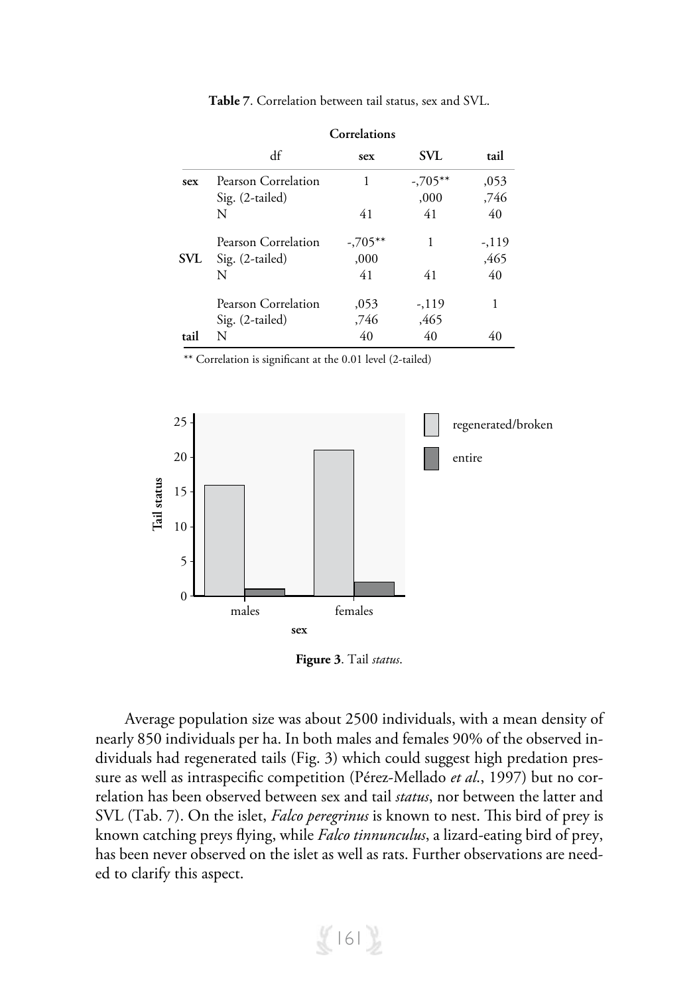|      | Correlations        |           |            |       |  |  |  |  |
|------|---------------------|-----------|------------|-------|--|--|--|--|
|      | df                  | sex       | <b>SVL</b> | tail  |  |  |  |  |
| sex  | Pearson Correlation | 1         | $-0.705**$ | ,053  |  |  |  |  |
|      | Sig. (2-tailed)     |           | ,000       | ,746  |  |  |  |  |
|      | N                   | 41        | 41         | 40    |  |  |  |  |
|      | Pearson Correlation | $-705***$ | 1          | -,119 |  |  |  |  |
| SVL  | Sig. (2-tailed)     | ,000      |            | ,465  |  |  |  |  |
|      | N                   | 41        | 41         | 40    |  |  |  |  |
|      | Pearson Correlation | ,053      | $-119$     | 1     |  |  |  |  |
|      | Sig. (2-tailed)     | ,746      | ,465       |       |  |  |  |  |
| tail | N                   | 40        | 40         | 40    |  |  |  |  |

**Table 7**. Correlation between tail status, sex and SVL.

\*\* Correlation is significant at the 0.01 level (2-tailed)



**Figure 3**. Tail *status*.

Average population size was about 2500 individuals, with a mean density of nearly 850 individuals per ha. In both males and females 90% of the observed individuals had regenerated tails (Fig. 3) which could suggest high predation pressure as well as intraspecific competition (Pérez-Mellado *et al*., 1997) but no correlation has been observed between sex and tail *status*, nor between the latter and SVL (Tab. 7). On the islet, *Falco peregrinus* is known to nest. This bird of prey is known catching preys flying, while *Falco tinnunculus*, a lizard-eating bird of prey, has been never observed on the islet as well as rats. Further observations are needed to clarify this aspect.